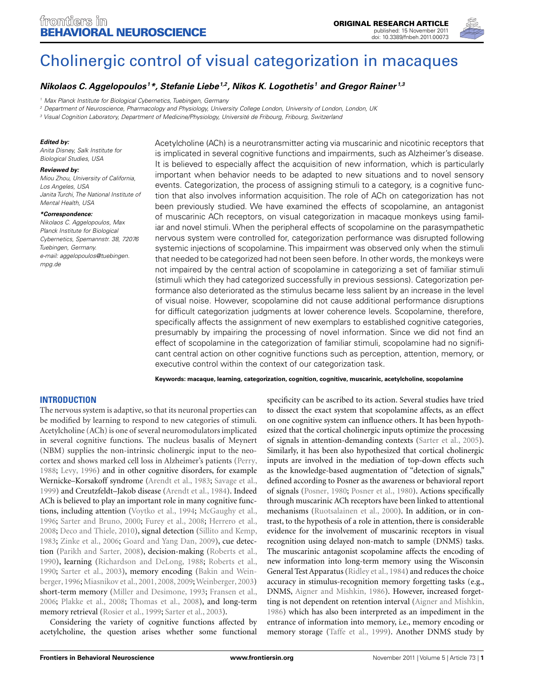

# [Cholinergic control of visual categorization in macaques](http://www.frontiersin.org/Behavioral_Neuroscience/10.3389/fnbeh.2011.00073/abstract)

# *[Nikolaos C. Aggelopoulos](http://www.frontiersin.org/Community/WhosWhoDetails.aspx?UID=39183&d=1&sname=NikolaosAggelopoulos&name=Science) 1\*, [Stefanie Liebe1](http://www.frontiersin.org/Community/WhosWhoDetails.aspx?UID=40311&d=1&sname=StefanieLiebe_1&name=Science),2, [Nikos K. Logothetis](http://www.frontiersin.org/Community/WhosWhoDetails.aspx?UID=403&d=1&sname=NikosLogothetis&name=Science) <sup>1</sup> and Gregor Rainer 1,3*

<sup>1</sup> Max Planck Institute for Biological Cybernetics, Tuebingen, Germany

<sup>2</sup> Department of Neuroscience, Pharmacology and Physiology, University College London, University of London, London, UK

<sup>3</sup> Visual Cognition Laboratory, Department of Medicine/Physiology, Université de Fribourg, Fribourg, Switzerland

#### *Edited by:*

Anita Disney, Salk Institute for Biological Studies, USA

#### *Reviewed by:*

Miou Zhou, University of California, Los Angeles, USA Janita Turchi, The National Institute of Mental Health, USA

#### *\*Correspondence:*

Nikolaos C. Aggelopoulos, Max Planck Institute for Biological Cybernetics, Spemannstr. 38, 72076 Tuebingen, Germany. e-mail: aggelopoulos@tuebingen. mpg.de

Acetylcholine (ACh) is a neurotransmitter acting via muscarinic and nicotinic receptors that is implicated in several cognitive functions and impairments, such as Alzheimer's disease. It is believed to especially affect the acquisition of new information, which is particularly important when behavior needs to be adapted to new situations and to novel sensory events. Categorization, the process of assigning stimuli to a category, is a cognitive function that also involves information acquisition. The role of ACh on categorization has not been previously studied. We have examined the effects of scopolamine, an antagonist of muscarinic ACh receptors, on visual categorization in macaque monkeys using familiar and novel stimuli. When the peripheral effects of scopolamine on the parasympathetic nervous system were controlled for, categorization performance was disrupted following systemic injections of scopolamine. This impairment was observed only when the stimuli that needed to be categorized had not been seen before. In other words, the monkeys were not impaired by the central action of scopolamine in categorizing a set of familiar stimuli (stimuli which they had categorized successfully in previous sessions). Categorization performance also deteriorated as the stimulus became less salient by an increase in the level of visual noise. However, scopolamine did not cause additional performance disruptions for difficult categorization judgments at lower coherence levels. Scopolamine, therefore, specifically affects the assignment of new exemplars to established cognitive categories, presumably by impairing the processing of novel information. Since we did not find an effect of scopolamine in the categorization of familiar stimuli, scopolamine had no significant central action on other cognitive functions such as perception, attention, memory, or executive control within the context of our categorization task.

**Keywords: macaque, learning, categorization, cognition, cognitive, muscarinic, acetylcholine, scopolamine**

# **INTRODUCTION**

The nervous system is adaptive, so that its neuronal properties can be modified by learning to respond to new categories of stimuli. Acetylcholine (ACh) is one of several neuromodulators implicated in several cognitive functions. The nucleus basalis of Meynert (NBM) supplies the non-intrinsic cholinergic input to the neocortex and shows marked cell loss in Alzheimer's patients [\(Perry,](#page-9-0) [1988;](#page-9-0) [Levy](#page-8-0), [1996\)](#page-8-0) and in other cognitive disorders, for example Wernicke–Korsakoff syndrome [\(Arendt et al.](#page-8-0), [1983;](#page-8-0) [Savage et al.,](#page-9-0) [1999\)](#page-9-0) and Creutzfeldt–Jakob disease [\(Arendt et al.](#page-8-0), [1984\)](#page-8-0). Indeed ACh is believed to play an important role in many cognitive functions, including attention [\(Voytko et al., 1994](#page-9-0); [McGaughy et al.,](#page-8-0) [1996;](#page-8-0) [Sarter and Bruno](#page-9-0), [2000;](#page-9-0) [Furey et al., 2008](#page-8-0); [Herrero et al.,](#page-8-0) [2008;](#page-8-0) [Deco and Thiele](#page-8-0), [2010\)](#page-8-0), signal detection [\(Sillito and Kemp,](#page-9-0) [1983;](#page-9-0) [Zinke et al., 2006](#page-9-0); [Goard and Yang Dan](#page-8-0), [2009](#page-8-0)), cue detection [\(Parikh and Sarter, 2008](#page-8-0)), decision-making [\(Roberts et al.,](#page-9-0) [1990\)](#page-9-0), learning [\(Richardson and DeLong, 1988](#page-9-0); [Roberts et al.,](#page-9-0) [1990;](#page-9-0) [Sarter et al., 2003\)](#page-9-0)[,](#page-8-0) [memory](#page-8-0) [encoding](#page-8-0) [\(](#page-8-0)Bakin and Weinberger, [1996](#page-8-0); [Miasnikov et al., 2001, 2008](#page-8-0), [2009](#page-8-0);[Weinberger, 2003](#page-9-0)) short-term memory [\(Miller and Desimone](#page-8-0), [1993](#page-8-0); [Fransen et al.,](#page-8-0) [2006;](#page-8-0) [Plakke et al., 2008;](#page-9-0) [Thomas et al.](#page-9-0), [2008](#page-9-0)), and long-term memory retrieval [\(Rosier et al., 1999](#page-9-0); [Sarter et al.](#page-9-0), [2003\)](#page-9-0).

Considering the variety of cognitive functions affected by acetylcholine, the question arises whether some functional specificity can be ascribed to its action. Several studies have tried to dissect the exact system that scopolamine affects, as an effect on one cognitive system can influence others. It has been hypothesized that the cortical cholinergic inputs optimize the processing of signals in attention-demanding contexts [\(Sarter et al., 2005](#page-9-0)). Similarly, it has been also hypothesized that cortical cholinergic inputs are involved in the mediation of top-down effects such as the knowledge-based augmentation of "detection of signals," defined according to Posner as the awareness or behavioral report of signals [\(Posner](#page-9-0), [1980](#page-9-0); [Posner et al.](#page-9-0), [1980\)](#page-9-0). Actions specifically through muscarinic ACh receptors have been linked to attentional mechanisms [\(Ruotsalainen et al., 2000](#page-9-0)). In addition, or in contrast, to the hypothesis of a role in attention, there is considerable evidence for the involvement of muscarinic receptors in visual recognition using delayed non-match to sample (DNMS) tasks. The muscarinic antagonist scopolamine affects the encoding of new information into long-term memory using the Wisconsin General Test Apparatus [\(Ridley et al., 1984\)](#page-9-0) and reduces the choice accuracy in stimulus-recognition memory forgetting tasks (e.g., DNMS, [Aigner and Mishkin, 1986](#page-8-0)). However, increased forgetting is not dependent on retention interval [\(Aigner and Mishkin,](#page-8-0) [1986\)](#page-8-0) which has also been interpreted as an impediment in the entrance of information into memory, i.e., memory encoding or memory storage [\(Taffe et al.](#page-9-0), [1999](#page-9-0)). Another DNMS study by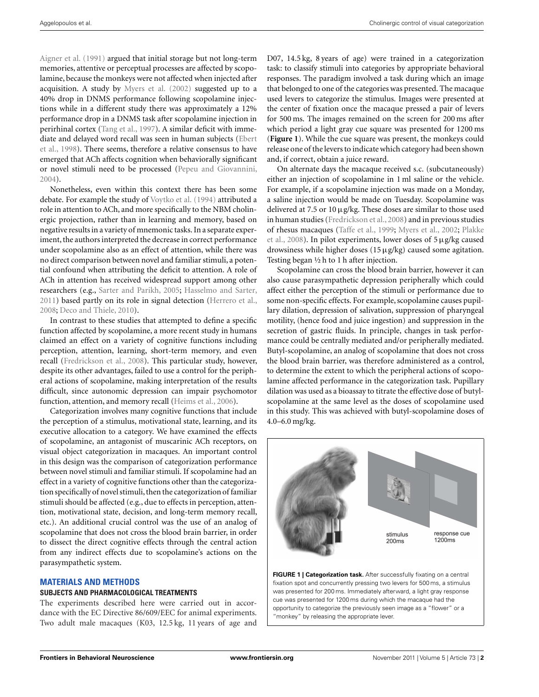[Aigner et al.](#page-8-0) [\(1991\)](#page-8-0) argued that initial storage but not long-term memories, attentive or perceptual processes are affected by scopolamine, because the monkeys were not affected when injected after acquisition. A study by [Myers et al.](#page-8-0) [\(2002\)](#page-8-0) suggested up to a 40% drop in DNMS performance following scopolamine injections while in a different study there was approximately a 12% performance drop in a DNMS task after scopolamine injection in perirhinal cortex [\(Tang et al., 1997](#page-9-0)). A similar deficit with immediate [and delayed word recall was seen in human subjects \(](#page-8-0)Ebert et al., [1998](#page-8-0)). There seems, therefore a relative consensus to have emerged that ACh affects cognition when behaviorally significant or novel stimuli need to be processed [\(Pepeu and Giovannini,](#page-8-0) [2004\)](#page-8-0).

Nonetheless, even within this context there has been some debate. For example the study of [Voytko et al.](#page-9-0) [\(1994\)](#page-9-0) attributed a role in attention to ACh, and more specifically to the NBM cholinergic projection, rather than in learning and memory, based on negative results in a variety of mnemonic tasks. In a separate experiment, the authors interpreted the decrease in correct performance under scopolamine also as an effect of attention, while there was no direct comparison between novel and familiar stimuli, a potential confound when attributing the deficit to attention. A role of ACh in attention has received widespread support among other researchers (e.g., [Sarter and Parikh, 2005;](#page-9-0) [Hasselmo and Sarter,](#page-8-0) [2011\)](#page-8-0) based partly on its role in signal detection [\(Herrero et al.,](#page-8-0) [2008;](#page-8-0) [Deco and Thiele, 2010](#page-8-0)).

In contrast to these studies that attempted to define a specific function affected by scopolamine, a more recent study in humans claimed an effect on a variety of cognitive functions including perception, attention, learning, short-term memory, and even recall [\(Fredrickson et al.](#page-8-0), [2008\)](#page-8-0). This particular study, however, despite its other advantages, failed to use a control for the peripheral actions of scopolamine, making interpretation of the results difficult, since autonomic depression can impair psychomotor function, attention, and memory recall [\(Heims et al., 2006\)](#page-8-0).

Categorization involves many cognitive functions that include the perception of a stimulus, motivational state, learning, and its executive allocation to a category. We have examined the effects of scopolamine, an antagonist of muscarinic ACh receptors, on visual object categorization in macaques. An important control in this design was the comparison of categorization performance between novel stimuli and familiar stimuli. If scopolamine had an effect in a variety of cognitive functions other than the categorization specifically of novel stimuli, then the categorization of familiar stimuli should be affected (e.g., due to effects in perception, attention, motivational state, decision, and long-term memory recall, etc.). An additional crucial control was the use of an analog of scopolamine that does not cross the blood brain barrier, in order to dissect the direct cognitive effects through the central action from any indirect effects due to scopolamine's actions on the parasympathetic system.

## **MATERIALS AND METHODS**

### **SUBJECTS AND PHARMACOLOGICAL TREATMENTS**

The experiments described here were carried out in accordance with the EC Directive 86/609/EEC for animal experiments. Two adult male macaques (K03, 12.5 kg, 11 years of age and D07, 14.5 kg, 8 years of age) were trained in a categorization task: to classify stimuli into categories by appropriate behavioral responses. The paradigm involved a task during which an image that belonged to one of the categories was presented. The macaque used levers to categorize the stimulus. Images were presented at the center of fixation once the macaque pressed a pair of levers for 500 ms. The images remained on the screen for 200 ms after which period a light gray cue square was presented for 1200 ms (**Figure 1**). While the cue square was present, the monkeys could release one of the levers to indicate which category had been shown and, if correct, obtain a juice reward.

On alternate days the macaque received s.c. (subcutaneously) either an injection of scopolamine in 1 ml saline or the vehicle. For example, if a scopolamine injection was made on a Monday, a saline injection would be made on Tuesday. Scopolamine was delivered at 7.5 or 10μg/kg. These doses are similar to those used in human studies [\(Fredrickson et al.](#page-8-0), [2008\)](#page-8-0) and in previous studies of r[hesus macaques \(Taffe et al., 1999;](#page-9-0) [Myers et al.](#page-8-0), [2002](#page-8-0); Plakke et al., [2008\)](#page-9-0). In pilot experiments, lower doses of 5μg/kg caused drowsiness while higher doses (15μg/kg) caused some agitation. Testing began ½ h to 1 h after injection.

Scopolamine can cross the blood brain barrier, however it can also cause parasympathetic depression peripherally which could affect either the perception of the stimuli or performance due to some non-specific effects. For example, scopolamine causes pupillary dilation, depression of salivation, suppression of pharyngeal motility, (hence food and juice ingestion) and suppression in the secretion of gastric fluids. In principle, changes in task performance could be centrally mediated and/or peripherally mediated. Butyl-scopolamine, an analog of scopolamine that does not cross the blood brain barrier, was therefore administered as a control, to determine the extent to which the peripheral actions of scopolamine affected performance in the categorization task. Pupillary dilation was used as a bioassay to titrate the effective dose of butylscopolamine at the same level as the doses of scopolamine used in this study. This was achieved with butyl-scopolamine doses of 4.0–6.0 mg/kg.



**FIGURE 1 | Categorization task.** After successfully fixating on a central fixation spot and concurrently pressing two levers for 500 ms, a stimulus was presented for 200 ms. Immediately afterward, a light gray response cue was presented for 1200 ms during which the macaque had the opportunity to categorize the previously seen image as a "flower" or a "monkey" by releasing the appropriate lever.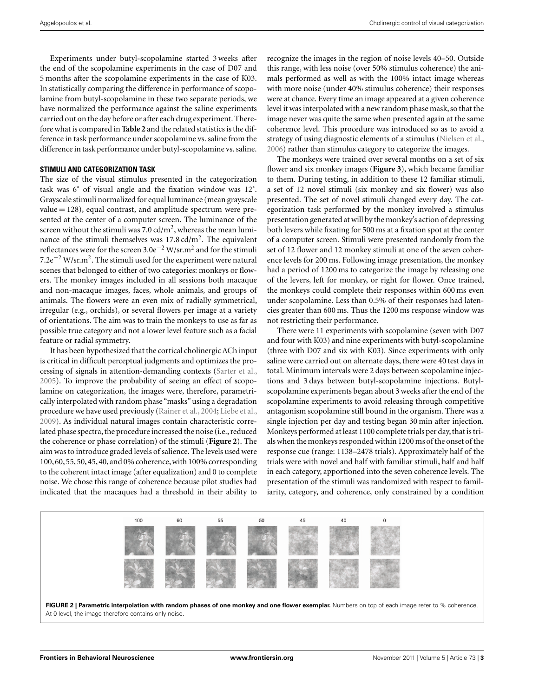Experiments under butyl-scopolamine started 3 weeks after the end of the scopolamine experiments in the case of D07 and 5 months after the scopolamine experiments in the case of K03. In statistically comparing the difference in performance of scopolamine from butyl-scopolamine in these two separate periods, we have normalized the performance against the saline experiments carried out on the day before or after each drug experiment. Therefore what is compared in **[Table 2](#page-5-0)** and the related statistics is the difference in task performance under scopolamine vs. saline from the difference in task performance under butyl-scopolamine vs. saline.

### **STIMULI AND CATEGORIZATION TASK**

The size of the visual stimulus presented in the categorization task was 6˚ of visual angle and the fixation window was 12˚. Grayscale stimuli normalized for equal luminance (mean grayscale  $value = 128$ ), equal contrast, and amplitude spectrum were presented at the center of a computer screen. The luminance of the screen without the stimuli was  $7.0 \text{ cd/m}^2$ , whereas the mean luminance of the stimuli themselves was 17.8 cd/m<sup>2</sup>. The equivalent reflectances were for the screen 3.0e−<sup>2</sup> W/sr.m<sup>2</sup> and for the stimuli 7.2e−<sup>2</sup> W/sr.m2. The stimuli used for the experiment were natural scenes that belonged to either of two categories: monkeys or flowers. The monkey images included in all sessions both macaque and non-macaque images, faces, whole animals, and groups of animals. The flowers were an even mix of radially symmetrical, irregular (e.g., orchids), or several flowers per image at a variety of orientations. The aim was to train the monkeys to use as far as possible true category and not a lower level feature such as a facial feature or radial symmetry.

It has been hypothesized that the cortical cholinergic ACh input is critical in difficult perceptual judgments and optimizes the processing of signals in attention-demanding contexts [\(Sarter et al.,](#page-9-0) [2005\)](#page-9-0). To improve the probability of seeing an effect of scopolamine on categorization, the images were, therefore, parametrically interpolated with random phase "masks" using a degradation procedure we have used previously [\(Rainer et al., 2004](#page-9-0); [Liebe et al.,](#page-8-0) [2009\)](#page-8-0). As individual natural images contain characteristic correlated phase spectra, the procedure increased the noise (i.e., reduced the coherence or phase correlation) of the stimuli (**Figure 2**). The aim was to introduce graded levels of salience. The levels used were 100,60,55,50,45,40, and 0% coherence,with 100% corresponding to the coherent intact image (after equalization) and 0 to complete noise. We chose this range of coherence because pilot studies had indicated that the macaques had a threshold in their ability to recognize the images in the region of noise levels 40–50. Outside this range, with less noise (over 50% stimulus coherence) the animals performed as well as with the 100% intact image whereas with more noise (under 40% stimulus coherence) their responses were at chance. Every time an image appeared at a given coherence level it was interpolated with a new random phase mask, so that the image never was quite the same when presented again at the same coherence level. This procedure was introduced so as to avoid a strategy of using diagnostic elements of a stimulus [\(Nielsen et al.,](#page-8-0) [2006\)](#page-8-0) rather than stimulus category to categorize the images.

The monkeys were trained over several months on a set of six flower and six monkey images (**[Figure 3](#page-3-0)**), which became familiar to them. During testing, in addition to these 12 familiar stimuli, a set of 12 novel stimuli (six monkey and six flower) was also presented. The set of novel stimuli changed every day. The categorization task performed by the monkey involved a stimulus presentation generated at will by the monkey's action of depressing both levers while fixating for 500 ms at a fixation spot at the center of a computer screen. Stimuli were presented randomly from the set of 12 flower and 12 monkey stimuli at one of the seven coherence levels for 200 ms. Following image presentation, the monkey had a period of 1200 ms to categorize the image by releasing one of the levers, left for monkey, or right for flower. Once trained, the monkeys could complete their responses within 600 ms even under scopolamine. Less than 0.5% of their responses had latencies greater than 600 ms. Thus the 1200 ms response window was not restricting their performance.

There were 11 experiments with scopolamine (seven with D07 and four with K03) and nine experiments with butyl-scopolamine (three with D07 and six with K03). Since experiments with only saline were carried out on alternate days, there were 40 test days in total. Minimum intervals were 2 days between scopolamine injections and 3 days between butyl-scopolamine injections. Butylscopolamine experiments began about 3 weeks after the end of the scopolamine experiments to avoid releasing through competitive antagonism scopolamine still bound in the organism. There was a single injection per day and testing began 30 min after injection. Monkeys performed at least 1100 complete trials per day, that is trials when the monkeys responded within 1200 ms of the onset of the response cue (range: 1138–2478 trials). Approximately half of the trials were with novel and half with familiar stimuli, half and half in each category, apportioned into the seven coherence levels. The presentation of the stimuli was randomized with respect to familiarity, category, and coherence, only constrained by a condition



At 0 level, the image therefore contains only noise.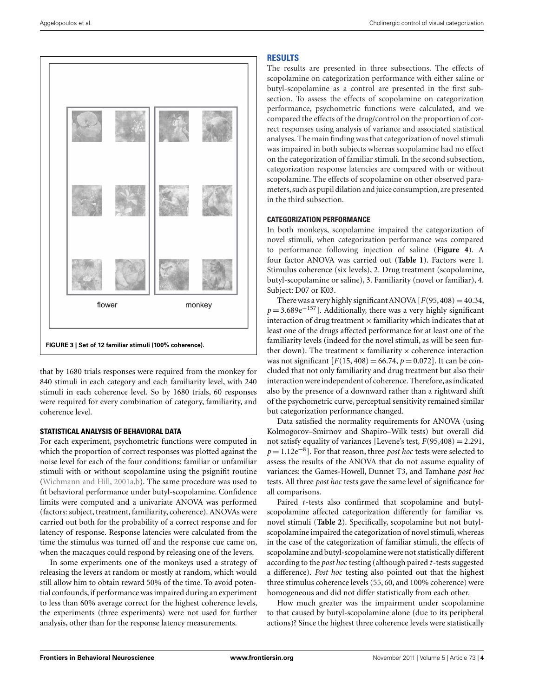<span id="page-3-0"></span>

that by 1680 trials responses were required from the monkey for 840 stimuli in each category and each familiarity level, with 240 stimuli in each coherence level. So by 1680 trials, 60 responses were required for every combination of category, familiarity, and coherence level.

# **STATISTICAL ANALYSIS OF BEHAVIORAL DATA**

For each experiment, psychometric functions were computed in which the proportion of correct responses was plotted against the noise level for each of the four conditions: familiar or unfamiliar stimuli with or without scopolamine using the psignifit routine [\(Wichmann and Hill, 2001a,b\)](#page-9-0). The same procedure was used to fit behavioral performance under butyl-scopolamine. Confidence limits were computed and a univariate ANOVA was performed (factors: subject, treatment, familiarity, coherence). ANOVAs were carried out both for the probability of a correct response and for latency of response. Response latencies were calculated from the time the stimulus was turned off and the response cue came on, when the macaques could respond by releasing one of the levers.

In some experiments one of the monkeys used a strategy of releasing the levers at random or mostly at random, which would still allow him to obtain reward 50% of the time. To avoid potential confounds,if performance was impaired during an experiment to less than 60% average correct for the highest coherence levels, the experiments (three experiments) were not used for further analysis, other than for the response latency measurements.

# **RESULTS**

The results are presented in three subsections. The effects of scopolamine on categorization performance with either saline or butyl-scopolamine as a control are presented in the first subsection. To assess the effects of scopolamine on categorization performance, psychometric functions were calculated, and we compared the effects of the drug/control on the proportion of correct responses using analysis of variance and associated statistical analyses. The main finding was that categorization of novel stimuli was impaired in both subjects whereas scopolamine had no effect on the categorization of familiar stimuli. In the second subsection, categorization response latencies are compared with or without scopolamine. The effects of scopolamine on other observed parameters, such as pupil dilation and juice consumption, are presented in the third subsection.

# **CATEGORIZATION PERFORMANCE**

In both monkeys, scopolamine impaired the categorization of novel stimuli, when categorization performance was compared to performance following injection of saline (**[Figure 4](#page-4-0)**). A four factor ANOVA was carried out (**[Table 1](#page-4-0)**). Factors were 1. Stimulus coherence (six levels), 2. Drug treatment (scopolamine, butyl-scopolamine or saline), 3. Familiarity (novel or familiar), 4. Subject: D07 or K03.

There was a very highly significant ANOVA  $[F(95, 408) = 40.34,$ *p* = 3.689e<sup>-157</sup>]. Additionally, there was a very highly significant interaction of drug treatment  $\times$  familiarity which indicates that at least one of the drugs affected performance for at least one of the familiarity levels (indeed for the novel stimuli, as will be seen further down). The treatment  $\times$  familiarity  $\times$  coherence interaction was not significant  $[F(15, 408) = 66.74, p = 0.072]$ . It can be concluded that not only familiarity and drug treatment but also their interaction were independent of coherence. Therefore, as indicated also by the presence of a downward rather than a rightward shift of the psychometric curve, perceptual sensitivity remained similar but categorization performance changed.

Data satisfied the normality requirements for ANOVA (using Kolmogorov–Smirnov and Shapiro–Wilk tests) but overall did not satisfy equality of variances [Levene's test,  $F(95,408) = 2.291$ , *p* = 1.12e<sup>-8</sup>]. For that reason, three *post hoc* tests were selected to assess the results of the ANOVA that do not assume equality of variances: the Games-Howell, Dunnet T3, and Tamhane *post hoc* tests. All three *post hoc* tests gave the same level of significance for all comparisons.

Paired *t*-tests also confirmed that scopolamine and butylscopolamine affected categorization differently for familiar vs. novel stimuli (**[Table 2](#page-5-0)**). Specifically, scopolamine but not butylscopolamine impaired the categorization of novel stimuli, whereas in the case of the categorization of familiar stimuli, the effects of scopolamine and butyl-scopolamine were not statistically different according to the *post hoc* testing (although paired *t*-tests suggested a difference). *Post hoc* testing also pointed out that the highest three stimulus coherence levels (55, 60, and 100% coherence) were homogeneous and did not differ statistically from each other.

How much greater was the impairment under scopolamine to that caused by butyl-scopolamine alone (due to its peripheral actions)? Since the highest three coherence levels were statistically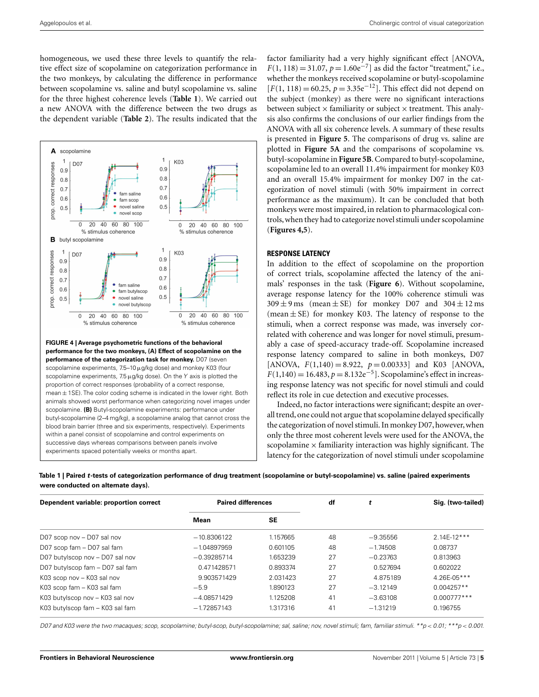<span id="page-4-0"></span>homogeneous, we used these three levels to quantify the relative effect size of scopolamine on categorization performance in the two monkeys, by calculating the difference in performance between scopolamine vs. saline and butyl scopolamine vs. saline for the three highest coherence levels (**Table 1**). We carried out a new ANOVA with the difference between the two drugs as the dependent variable (**[Table 2](#page-5-0)**). The results indicated that the



**FIGURE 4 | Average psychometric functions of the behavioral performance for the two monkeys, (A) Effect of scopolamine on the performance of the categorization task for monkey.** D07 (seven scopolamine experiments, 7.5–10μg/kg dose) and monkey K03 (four scopolamine experiments,  $7.5 \mu$ g/kg dose). On the Y axis is plotted the proportion of correct responses (probability of a correct response, mean  $\pm$  1SE). The color coding scheme is indicated in the lower right. Both animals showed worst performance when categorizing novel images under scopolamine. **(B)** Butyl-scopolamine experiments: performance under butyl-scopolamine (2–4 mg/kg), a scopolamine analog that cannot cross the blood brain barrier (three and six experiments, respectively). Experiments within a panel consist of scopolamine and control experiments on successive days whereas comparisons between panels involve experiments spaced potentially weeks or months apart.

factor familiarity had a very highly significant effect [ANOVA,  $F(1, 118) = 31.07$ ,  $p = 1.60e^{-7}$ ] as did the factor "treatment," i.e., whether the monkeys received scopolamine or butyl-scopolamine  $[F(1, 118) = 60.25, p = 3.35e^{-12}]$ . This effect did not depend on the subject (monkey) as there were no significant interactions between subject  $\times$  familiarity or subject  $\times$  treatment. This analysis also confirms the conclusions of our earlier findings from the ANOVA with all six coherence levels. A summary of these results is presented in **[Figure 5](#page-5-0)**. The comparisons of drug vs. saline are plotted in **[Figure 5A](#page-5-0)** and the comparisons of scopolamine vs. butyl-scopolamine in **[Figure 5B](#page-5-0)**. Compared to butyl-scopolamine, scopolamine led to an overall 11.4% impairment for monkey K03 and an overall 15.4% impairment for monkey D07 in the categorization of novel stimuli (with 50% impairment in correct performance as the maximum). It can be concluded that both monkeys were most impaired, in relation to pharmacological controls,when they had to categorize novel stimuli under scopolamine (**Figures 4,5**).

### **RESPONSE LATENCY**

In addition to the effect of scopolamine on the proportion of correct trials, scopolamine affected the latency of the animals' responses in the task (**[Figure 6](#page-5-0)**). Without scopolamine, average response latency for the 100% coherence stimuli was  $309 \pm 9 \text{ ms}$  (mean  $\pm$  SE) for monkey D07 and  $304 \pm 12 \text{ ms}$ (mean  $\pm$  SE) for monkey K03. The latency of response to the stimuli, when a correct response was made, was inversely correlated with coherence and was longer for novel stimuli, presumably a case of speed-accuracy trade-off. Scopolamine increased response latency compared to saline in both monkeys, D07 [ANOVA,  $F(1,140) = 8.922$ ,  $p = 0.00333$ ] and K03 [ANOVA,  $F(1,140) = 16.483, p = 8.132e^{-5}$ . Scopolamine's effect in increasing response latency was not specific for novel stimuli and could reflect its role in cue detection and executive processes.

Indeed, no factor interactions were significant; despite an overall trend, one could not argue that scopolamine delayed specifically the categorization of novel stimuli. In monkey D07, however, when only the three most coherent levels were used for the ANOVA, the scopolamine  $\times$  familiarity interaction was highly significant. The latency for the categorization of novel stimuli under scopolamine

**Table 1 | Paired** *t***-tests of categorization performance of drug treatment (scopolamine or butyl-scopolamine) vs. saline (paired experiments were conducted on alternate days).**

| Dependent variable: proportion correct | <b>Paired differences</b> |           | df | t          | Sig. (two-tailed) |
|----------------------------------------|---------------------------|-----------|----|------------|-------------------|
|                                        | Mean                      | <b>SE</b> |    |            |                   |
| D07 scop nov - D07 sal nov             | $-10.8306122$             | 1.157665  | 48 | $-9.35556$ | $2.14E-12***$     |
| D07 scop fam - D07 sal fam             | $-1.04897959$             | 0.601105  | 48 | $-1.74508$ | 0.08737           |
| D07 butylscop nov - D07 sal nov        | $-0.39285714$             | 1.653239  | 27 | $-0.23763$ | 0.813963          |
| D07 butylscop fam - D07 sal fam        | 0.471428571               | 0.893374  | 27 | 0.527694   | 0.602022          |
| K03 scop nov - K03 sal nov             | 9.903571429               | 2.031423  | 27 | 4.875189   | 4.26E-05***       |
| K03 scop fam - K03 sal fam             | $-5.9$                    | 1.890123  | 27 | $-3.12149$ | $0.004257**$      |
| K03 butylscop nov – K03 sal nov        | $-4.08571429$             | 1.125208  | 41 | $-3.63108$ | $0.000777***$     |
| K03 butylscop fam - K03 sal fam        | $-1.72857143$             | 1.317316  | 41 | $-1.31219$ | 0.196755          |

D07 and K03 were the two macaques; scop, scopolamine; butyl-scop, butyl-scopolamine; sal, saline; nov, novel stimuli; fam, familiar stimuli. \*\*p < 0.01; \*\*\*p < 0.001.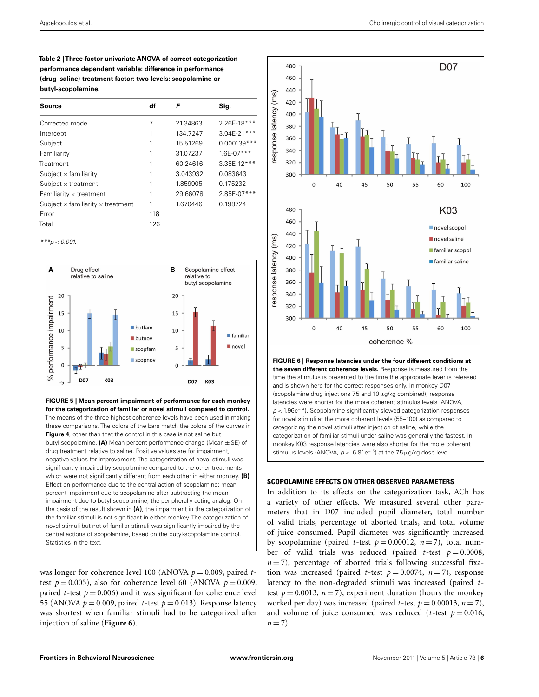<span id="page-5-0"></span>**Table 2 | Three-factor univariate ANOVA of correct categorization performance dependent variable: difference in performance (drug–saline) treatment factor: two levels: scopolamine or butyl-scopolamine.**

| Source                                          | df  | F        | Sig.            |
|-------------------------------------------------|-----|----------|-----------------|
| Corrected model                                 | 7   | 21.34863 | 2.26E-18***     |
| Intercept                                       |     | 134.7247 | $3.04E-21***$   |
| Subject                                         | 1   | 15.51269 | $0.000139***$   |
| Familiarity                                     |     | 31.07237 | $1.6E - 07$ *** |
| Treatment                                       |     | 60.24616 | 3.35E-12***     |
| Subject $\times$ familiarity                    | 1   | 3.043932 | 0.083643        |
| Subject $\times$ treatment                      | 1   | 1.859905 | 0.175232        |
| Familiarity $\times$ treatment                  | 1   | 29.66078 | 2.85E-07***     |
| Subject $\times$ familiarity $\times$ treatment | 1   | 1.670446 | 0.198724        |
| Error                                           | 118 |          |                 |
| Total                                           | 126 |          |                 |

 $***p < 0.001$ .



**FIGURE 5 | Mean percent impairment of performance for each monkey for the categorization of familiar or novel stimuli compared to control.** The means of the three highest coherence levels have been used in making these comparisons. The colors of the bars match the colors of the curves in **[Figure 4](#page-4-0)**, other than that the control in this case is not saline but butyl-scopolamine. **(A)** Mean percent performance change (Mean ± SE) of drug treatment relative to saline. Positive values are for impairment, negative values for improvement. The categorization of novel stimuli was significantly impaired by scopolamine compared to the other treatments which were not significantly different from each other in either monkey. **(B)** Effect on performance due to the central action of scopolamine: mean percent impairment due to scopolamine after subtracting the mean impairment due to butyl-scopolamine, the peripherally acting analog. On the basis of the result shown in **(A)**, the impairment in the categorization of the familiar stimuli is not significant in either monkey. The categorization of novel stimuli but not of familiar stimuli was significantly impaired by the central actions of scopolamine, based on the butyl-scopolamine control. Statistics in the text.

was longer for coherence level 100 (ANOVA  $p = 0.009$ , paired *t*test  $p = 0.005$ ), also for coherence level 60 (ANOVA  $p = 0.009$ , paired *t*-test  $p = 0.006$ ) and it was significant for coherence level 55 (ANOVA  $p = 0.009$ , paired *t*-test  $p = 0.013$ ). Response latency was shortest when familiar stimuli had to be categorized after injection of saline (**Figure 6**).



**the seven different coherence levels.** Response is measured from the time the stimulus is presented to the time the appropriate lever is released and is shown here for the correct responses only. In monkey D07 (scopolamine drug injections 7.5 and 10μg/kg combined), response latencies were shorter for the more coherent stimulus levels (ANOVA, p < 1.96e−14). Scopolamine significantly slowed categorization responses for novel stimuli at the more coherent levels (55–100) as compared to categorizing the novel stimuli after injection of saline, while the categorization of familiar stimuli under saline was generally the fastest. In monkey K03 response latencies were also shorter for the more coherent stimulus levels (ANOVA,  $p < 6.81e^{-15}$ ) at the 7.5 µg/kg dose level.

# **SCOPOLAMINE EFFECTS ON OTHER OBSERVED PARAMETERS**

In addition to its effects on the categorization task, ACh has a variety of other effects. We measured several other parameters that in D07 included pupil diameter, total number of valid trials, percentage of aborted trials, and total volume of juice consumed. Pupil diameter was significantly increased by scopolamine (paired *t*-test  $p = 0.00012$ ,  $n = 7$ ), total number of valid trials was reduced (paired *t*-test  $p = 0.0008$ ,  $n=7$ ), percentage of aborted trials following successful fixation was increased (paired *t*-test  $p = 0.0074$ ,  $n = 7$ ), response latency to the non-degraded stimuli was increased (paired *t*test  $p = 0.0013$ ,  $n = 7$ ), experiment duration (hours the monkey worked per day) was increased (paired *t*-test  $p = 0.00013$ ,  $n = 7$ ), and volume of juice consumed was reduced ( $t$ -test  $p = 0.016$ ,  $n = 7$ .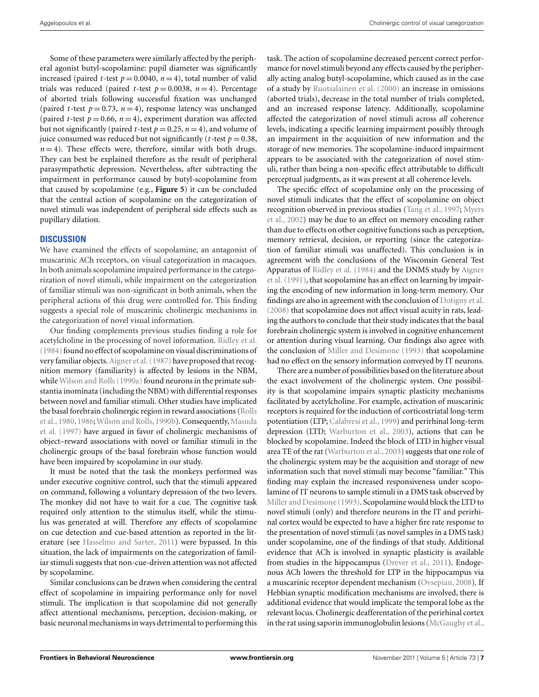Some of these parameters were similarly affected by the peripheral agonist butyl-scopolamine: pupil diameter was significantly increased (paired *t*-test  $p = 0.0040$ ,  $n = 4$ ), total number of valid trials was reduced (paired *t*-test  $p = 0.0038$ ,  $n = 4$ ). Percentage of aborted trials following successful fixation was unchanged (paired *t*-test  $p = 0.73$ ,  $n = 4$ ), response latency was unchanged (paired *t*-test  $p = 0.66$ ,  $n = 4$ ), experiment duration was affected but not significantly (paired *t*-test  $p = 0.25$ ,  $n = 4$ ), and volume of juice consumed was reduced but not significantly ( $t$ -test  $p = 0.38$ ,  $n=4$ ). These effects were, therefore, similar with both drugs. They can best be explained therefore as the result of peripheral parasympathetic depression. Nevertheless, after subtracting the impairment in performance caused by butyl-scopolamine from that caused by scopolamine (e.g., **[Figure 5](#page-5-0)**) it can be concluded that the central action of scopolamine on the categorization of novel stimuli was independent of peripheral side effects such as pupillary dilation.

## **DISCUSSION**

We have examined the effects of scopolamine, an antagonist of muscarinic ACh receptors, on visual categorization in macaques. In both animals scopolamine impaired performance in the categorization of novel stimuli, while impairment on the categorization of familiar stimuli was non-significant in both animals, when the peripheral actions of this drug were controlled for. This finding suggests a special role of muscarinic cholinergic mechanisms in the categorization of novel visual information.

Our finding complements previous studies finding a role for acetylcholine in the processing of novel information. [Ridley et al.](#page-9-0)  $(1984)$  $(1984)$  found no effect of scopolamine on visual discriminations of very familiar objects.[Aigner et al.](#page-8-0) [\(1987](#page-8-0)) have proposed that recognition memory (familiarity) is affected by lesions in the NBM, while [Wilson and Rolls](#page-9-0) [\(1990a](#page-9-0)) found neurons in the primate substantia inominata (including the NBM) with differential responses between novel and familiar stimuli. Other studies have implicated the [basal forebrain cholinergic region in reward associations \(](#page-9-0)Rolls et al.[,](#page-8-0) [1980](#page-9-0), [1986](#page-9-0)[;](#page-8-0) [Wilson and Rolls](#page-9-0), [1990b](#page-9-0)[\). Consequently,](#page-8-0) Masuda et al. [\(1997\)](#page-8-0) have argued in favor of cholinergic mechanisms of object–reward associations with novel or familiar stimuli in the cholinergic groups of the basal forebrain whose function would have been impaired by scopolamine in our study.

It must be noted that the task the monkeys performed was under executive cognitive control, such that the stimuli appeared on command, following a voluntary depression of the two levers. The monkey did not have to wait for a cue. The cognitive task required only attention to the stimulus itself, while the stimulus was generated at will. Therefore any effects of scopolamine on cue detection and cue-based attention as reported in the literature (see [Hasselmo and Sarter, 2011\)](#page-8-0) were bypassed. In this situation, the lack of impairments on the categorization of familiar stimuli suggests that non-cue-driven attention was not affected by scopolamine.

Similar conclusions can be drawn when considering the central effect of scopolamine in impairing performance only for novel stimuli. The implication is that scopolamine did not generally affect attentional mechanisms, perception, decision-making, or basic neuronal mechanisms in ways detrimental to performing this

task. The action of scopolamine decreased percent correct performance for novel stimuli beyond any effects caused by the peripherally acting analog butyl-scopolamine, which caused as in the case of a study by [Ruotsalainen et al.](#page-9-0) [\(2000](#page-9-0)) an increase in omissions (aborted trials), decrease in the total number of trials completed, and an increased response latency. Additionally, scopolamine affected the categorization of novel stimuli across *all* coherence levels, indicating a specific learning impairment possibly through an impairment in the acquisition of new information and the storage of new memories. The scopolamine-induced impairment appears to be associated with the categorization of novel stimuli, rather than being a non-specific effect attributable to difficult perceptual judgments, as it was present at all coherence levels.

The specific effect of scopolamine only on the processing of novel stimuli indicates that the effect of scopolamine on object reco[gnition observed in previous studies](#page-8-0) [\(Tang et al.](#page-9-0)[,](#page-8-0) [1997;](#page-9-0) Myers et al., [2002](#page-8-0)) may be due to an effect on memory encoding rather than due to effects on other cognitive functions such as perception, memory retrieval, decision, or reporting (since the categorization of familiar stimuli was unaffected). This conclusion is in agreement with the conclusions of the Wisconsin General Test Apparatus of [Ridley et al.](#page-9-0) [\(1984\)](#page-9-0) [and the DNMS study by](#page-8-0) Aigner et al. [\(1991](#page-8-0)), that scopolamine has an effect on learning by impairing the encoding of new information in long-term memory. Our findings are also in agreement with the conclusion of [Dotigny et al.](#page-8-0) [\(2008](#page-8-0)) that scopolamine does not affect visual acuity in rats, leading the authors to conclude that their study indicates that the basal forebrain cholinergic system is involved in cognitive enhancement or attention during visual learning. Our findings also agree with the conclusion of [Miller and Desimone](#page-8-0) [\(1993](#page-8-0)) that scopolamine had no effect on the sensory information conveyed by IT neurons.

There are a number of possibilities based on the literature about the exact involvement of the cholinergic system. One possibility is that scopolamine impairs synaptic plasticity mechanisms facilitated by acetylcholine. For example, activation of muscarinic receptors is required for the induction of corticostriatal long-term potentiation (LTP; [Calabresi et al., 1999\)](#page-8-0) and perirhinal long-term depression (LTD; [Warburton et al.](#page-9-0), [2003](#page-9-0)), actions that can be blocked by scopolamine. Indeed the block of LTD in higher visual area TE of the rat [\(Warburton et al., 2003\)](#page-9-0) suggests that one role of the cholinergic system may be the acquisition and storage of new information such that novel stimuli may become "familiar." This finding may explain the increased responsiveness under scopolamine of IT neurons to sample stimuli in a DMS task observed by [Miller and Desimone](#page-8-0) [\(1993](#page-8-0)). Scopolamine would block the LTD to novel stimuli (only) and therefore neurons in the IT and perirhinal cortex would be expected to have a higher fire rate response to the presentation of novel stimuli (as novel samples in a DMS task) under scopolamine, one of the findings of that study. Additional evidence that ACh is involved in synaptic plasticity is available from studies in the hippocampus [\(Drever et al., 2011](#page-8-0)). Endogenous ACh lowers the threshold for LTP in the hippocampus via a muscarinic receptor dependent mechanism [\(Ovsepian, 2008\)](#page-8-0). If Hebbian synaptic modification mechanisms are involved, there is additional evidence that would implicate the temporal lobe as the relevant locus. Cholinergic deafferentation of the perirhinal cortex in the rat using saporin immunoglobulin lesions [\(McGaughy et al.,](#page-8-0)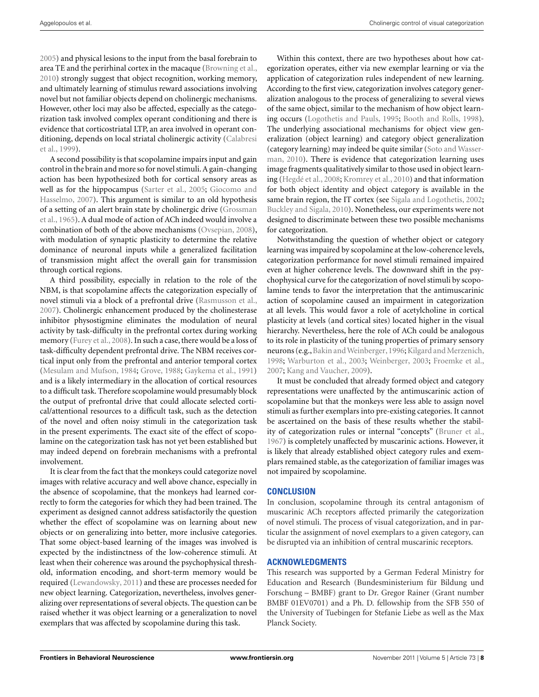[2005\)](#page-8-0) and physical lesions to the input from the basal forebrain to area TE and the perirhinal cortex in the macaque [\(Browning et al.,](#page-8-0) [2010\)](#page-8-0) strongly suggest that object recognition, working memory, and ultimately learning of stimulus reward associations involving novel but not familiar objects depend on cholinergic mechanisms. However, other loci may also be affected, especially as the categorization task involved complex operant conditioning and there is evidence that corticostriatal LTP, an area involved in operant conditi[oning, depends on local striatal cholinergic activity \(](#page-8-0)Calabresi et al., [1999\)](#page-8-0).

A second possibility is that scopolamine impairs input and gain control in the brain and more so for novel stimuli. A gain-changing action has been hypothesized both for cortical sensory areas as well as f[or the hippocampus](#page-8-0) [\(Sarter et al.](#page-9-0)[,](#page-8-0) [2005](#page-9-0)[;](#page-8-0) Giocomo and Hasselmo, [2007\)](#page-8-0). This argument is similar to an old hypothesis of a [setting of an alert brain state by cholinergic drive \(](#page-8-0)Grossman et al., [1965\)](#page-8-0). A dual mode of action of ACh indeed would involve a combination of both of the above mechanisms [\(Ovsepian, 2008](#page-8-0)), with modulation of synaptic plasticity to determine the relative dominance of neuronal inputs while a generalized facilitation of transmission might affect the overall gain for transmission through cortical regions.

A third possibility, especially in relation to the role of the NBM, is that scopolamine affects the categorization especially of novel stimuli via a block of a prefrontal drive [\(Rasmusson et al.,](#page-9-0) [2007\)](#page-9-0). Cholinergic enhancement produced by the cholinesterase inhibitor physostigmine eliminates the modulation of neural activity by task-difficulty in the prefrontal cortex during working memory [\(Furey et al.](#page-8-0), [2008](#page-8-0)). In such a case, there would be a loss of task-difficulty dependent prefrontal drive. The NBM receives cortical input only from the prefrontal and anterior temporal cortex [\(Mesulam and Mufson](#page-8-0), [1984](#page-8-0); [Grove, 1988](#page-8-0); [Gaykema et al., 1991](#page-8-0)) and is a likely intermediary in the allocation of cortical resources to a difficult task. Therefore scopolamine would presumably block the output of prefrontal drive that could allocate selected cortical/attentional resources to a difficult task, such as the detection of the novel and often noisy stimuli in the categorization task in the present experiments. The exact site of the effect of scopolamine on the categorization task has not yet been established but may indeed depend on forebrain mechanisms with a prefrontal involvement.

It is clear from the fact that the monkeys could categorize novel images with relative accuracy and well above chance, especially in the absence of scopolamine, that the monkeys had learned correctly to form the categories for which they had been trained. The experiment as designed cannot address satisfactorily the question whether the effect of scopolamine was on learning about new objects or on generalizing into better, more inclusive categories. That some object-based learning of the images was involved is expected by the indistinctness of the low-coherence stimuli. At least when their coherence was around the psychophysical threshold, information encoding, and short-term memory would be required [\(Lewandowsky](#page-8-0), [2011](#page-8-0)) and these are processes needed for new object learning. Categorization, nevertheless, involves generalizing over representations of several objects. The question can be raised whether it was object learning or a generalization to novel exemplars that was affected by scopolamine during this task.

Within this context, there are two hypotheses about how categorization operates, either via new exemplar learning or via the application of categorization rules independent of new learning. According to the first view, categorization involves category generalization analogous to the process of generalizing to several views of the same object, similar to the mechanism of how object learning occurs [\(Logothetis and Pauls, 1995](#page-8-0); [Booth and Rolls, 1998](#page-8-0)). The underlying associational mechanisms for object view generalization (object learning) and category object generalization (cat[egory learning\) may indeed be quite similar \(](#page-9-0)Soto and Wasserman, [2010\)](#page-9-0). There is evidence that categorization learning uses image fragments qualitatively similar to those used in object learning [\(Hegdé et al.](#page-8-0), [2008](#page-8-0); [Kromrey et al.](#page-8-0), [2010](#page-8-0)) and that information for both object identity and object category is available in the same brain region, the IT cortex (see [Sigala and Logothetis](#page-9-0), [2002;](#page-9-0) [Buckley and Sigala](#page-8-0), [2010\)](#page-8-0). Nonetheless, our experiments were not designed to discriminate between these two possible mechanisms for categorization.

Notwithstanding the question of whether object or category learning was impaired by scopolamine at the low-coherence levels, categorization performance for novel stimuli remained impaired even at higher coherence levels. The downward shift in the psychophysical curve for the categorization of novel stimuli by scopolamine tends to favor the interpretation that the antimuscarinic action of scopolamine caused an impairment in categorization at all levels. This would favor a role of acetylcholine in cortical plasticity at levels (and cortical sites) located higher in the visual hierarchy. Nevertheless, here the role of ACh could be analogous to its role in plasticity of the tuning properties of primary sensory neurons (e.g., Bakin and Weinberger, 1996; Kilgard and Merzenich, [1998;](#page-8-0) [Warburton et al.](#page-9-0), [2003;](#page-9-0) [Weinberger, 2003](#page-9-0); [Froemke et al.,](#page-8-0) [2007;](#page-8-0) [Kang and Vaucher, 2009](#page-8-0)).

It must be concluded that already formed object and category representations were unaffected by the antimuscarinic action of scopolamine but that the monkeys were less able to assign novel stimuli as further exemplars into pre-existing categories. It cannot be ascertained on the basis of these results whether the stability of categorization rules or internal "concepts" [\(Bruner et al.,](#page-8-0) [1967\)](#page-8-0) is completely unaffected by muscarinic actions. However, it is likely that already established object category rules and exemplars remained stable, as the categorization of familiar images was not impaired by scopolamine.

# **CONCLUSION**

In conclusion, scopolamine through its central antagonism of muscarinic ACh receptors affected primarily the categorization of novel stimuli. The process of visual categorization, and in particular the assignment of novel exemplars to a given category, can be disrupted via an inhibition of central muscarinic receptors.

# **ACKNOWLEDGMENTS**

This research was supported by a German Federal Ministry for Education and Research (Bundesministerium für Bildung und Forschung – BMBF) grant to Dr. Gregor Rainer (Grant number BMBF 01EV0701) and a Ph. D. fellowship from the SFB 550 of the University of Tuebingen for Stefanie Liebe as well as the Max Planck Society.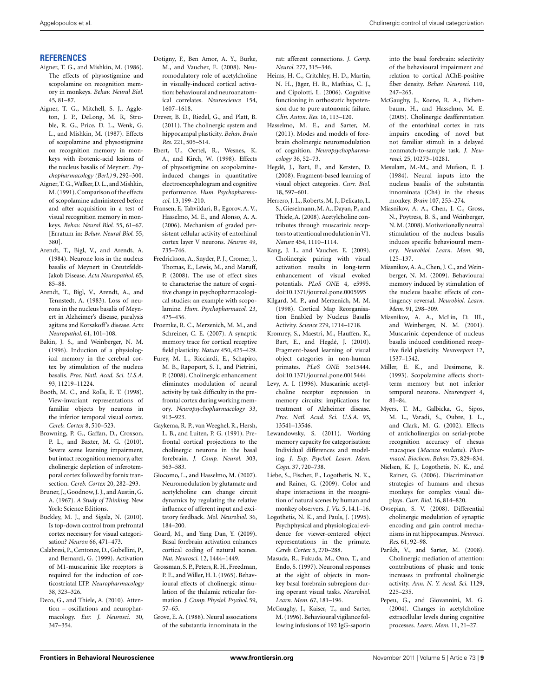### <span id="page-8-0"></span>**REFERENCES**

- Aigner, T. G., and Mishkin, M. (1986). The effects of physostigmine and scopolamine on recognition memory in monkeys. *Behav. Neural Biol.* 45, 81–87.
- Aigner, T. G., Mitchell, S. J., Aggleton, J. P., DeLong, M. R, Struble, R. G., Price, D. L., Wenk, G. L., and Mishkin, M. (1987). Effects of scopolamine and physostigmine on recognition memory in monkeys with ibotenic-acid lesions of the nucleus basalis of Meynert. *Psychopharmacology (Berl.)* 9, 292–300.
- Aigner, T. G.,Walker, D. L., and Mishkin, M. (1991). Comparison of the effects of scopolamine administered before and after acquisition in a test of visual recognition memory in monkeys. *Behav. Neural Biol.* 55, 61–67. [Erratum in: *Behav. Neural Biol.* 55, 380].
- Arendt, T., Bigl, V., and Arendt, A. (1984). Neurone loss in the nucleus basalis of Meynert in Creutzfeldt-Jakob Disease. *Acta Neuropathol.* 65, 85–88.
- Arendt, T., Bigl, V., Arendt, A., and Tennstedt, A. (1983). Loss of neurons in the nucleus basalis of Meynert in Alzheimer's disease, paralysis agitans and Korsakoff's disease. *Acta Neuropathol.* 61, 101–108.
- Bakin, J. S., and Weinberger, N. M. (1996). Induction of a physiological memory in the cerebral cortex by stimulation of the nucleus basalis. *Proc. Natl. Acad. Sci. U.S.A.* 93, 11219–11224.
- Booth, M. C., and Rolls, E. T. (1998). View-invariant representations of familiar objects by neurons in the inferior temporal visual cortex. *Cereb. Cortex* 8, 510–523.
- Browning, P. G., Gaffan, D., Croxson, P. L., and Baxter, M. G. (2010). Severe scene learning impairment, but intact recognition memory, after cholinergic depletion of inferotemporal cortex followed by fornix transection. *Cereb. Cortex* 20, 282–293.
- Bruner, J., Goodnow, J. J., and Austin, G. A. (1967). *A Study of Thinking*. New York: Science Editions.
- Buckley, M. J., and Sigala, N. (2010). Is top-down control from prefrontal cortex necessary for visual categorisation? *Neuron* 66, 471–473.
- Calabresi, P., Centonze, D., Gubellini, P., and Bernardi, G. (1999). Activation of M1-muscarinic like receptors is required for the induction of corticostriatal LTP. *Neuropharmacology* 38, 323–326.
- Deco, G., and Thiele, A. (2010). Attention – oscillations and neuropharmacology. *Eur. J. Neurosci.* 30, 347–354.
- Dotigny, F., Ben Amor, A. Y., Burke, M., and Vaucher, E. (2008). Neuromodulatory role of acetylcholine in visually-induced cortical activation: behavioural and neuroanatomical correlates. *Neuroscience* 154, 1607–1618.
- Drever, B. D., Riedel, G., and Platt, B. (2011). The cholinergic system and hippocampal plasticity. *Behav. Brain Res.* 221, 505–514.
- Ebert, U., Oertel, R., Wesnes, K. A., and Kirch, W. (1998). Effects of physostigmine on scopolamineinduced changes in quantitative electroencephalogram and cognitive performance. *Hum. Psychopharmacol.* 13, 199–210.
- Fransen, E, Tahvildari, B., Egorov, A. V., Hasselmo, M. E., and Alonso, A. A. (2006). Mechanism of graded persistent cellular activity of entorhinal cortex layer V neurons. *Neuron* 49, 735–746.
- Fredrickson, A., Snyder, P. J., Cromer, J., Thomas, E., Lewis, M., and Maruff, P. (2008). The use of effect sizes to characterise the nature of cognitive change in psychopharmacological studies: an example with scopolamine. *Hum. Psychopharmacol.* 23, 425–436.
- Froemke, R. C., Merzenich, M. M., and Schreiner, C. E. (2007). A synaptic memory trace for cortical receptive field plasticity. *Nature* 450, 425–429.
- Furey, M. L., Ricciardi, E., Schapiro, M. B., Rapoport, S. I., and Pietrini, P. (2008). Cholinergic enhancement eliminates modulation of neural activity by task difficulty in the prefrontal cortex during working memory. *Neuropsychopharmacology* 33, 913–923.
- Gaykema, R. P., van Weeghel, R., Hersh, L. B., and Luiten, P. G. (1991). Prefrontal cortical projections to the cholinergic neurons in the basal forebrain. *J. Comp. Neurol.* 303, 563–583.
- Giocomo, L., and Hasselmo, M. (2007). Neuromodulation by glutamate and acetylcholine can change circuit dynamics by regulating the relative influence of afferent input and excitatory feedback. *Mol. Neurobiol.* 36, 184–200.
- Goard, M., and Yang Dan, Y. (2009). Basal forebrain activation enhances cortical coding of natural scenes. *Nat. Neurosci.* 12, 1444–1449.
- Grossman, S. P., Peters, R. H., Freedman, P. E., and Willer, H. I. (1965). Behavioural effects of cholinergic stimulation of the thalamic reticular formation. *J. Comp. Physiol. Psychol.* 59, 57–65.
- Grove, E. A. (1988). Neural associations of the substantia innominata in the

rat: afferent connections. *J. Comp. Neurol.* 277, 315–346.

- Heims, H. C., Critchley, H. D., Martin, N. H., Jäger, H. R., Mathias, C. J., and Cipolotti, L. (2006). Cognitive functioning in orthostatic hypotension due to pure autonomic failure. *Clin. Auton. Res.* 16, 113–120.
- Hasselmo, M. E., and Sarter, M. (2011). Modes and models of forebrain cholinergic neuromodulation of cognition. *Neuropsychopharmacology* 36, 52–73.
- Hegdé, J., Bart, E., and Kersten, D. (2008). Fragment-based learning of visual object categories. *Curr. Biol.* 18, 597–601.
- Herrero, J. L., Roberts, M. J., Delicato, L. S., Gieselmann, M. A., Dayan, P., and Thiele,A. (2008). Acetylcholine contributes through muscarinic receptors to attentional modulation inV1. *Nature* 454, 1110–1114.
- Kang, J. I., and Vaucher, E. (2009). Cholinergic pairing with visual activation results in long-term enhancement of visual evoked potentials. *PLoS ONE* 4, e5995. doi[:10.1371/journal.pone.0005995](http://dx.doi.org/10.1371/journal.pone.0005995)
- Kilgard, M. P., and Merzenich, M. M. (1998). Cortical Map Reorganisation Enabled by Nucleus Basalis Activity. *Science* 279, 1714–1718.
- Kromrey, S., Maestri, M., Hauffen, K., Bart, E., and Hegdé, J. (2010). Fragment-based learning of visual object categories in non-human primates. *PLoS ONE* 5:e15444. doi[:10.1371/journal.pone.0015444](http://dx.doi.org/10.1371/journal.pone.0015444)
- Levy, A. I. (1996). Muscarinic acetylcholine receptor expression in memory circuits: implications for treatment of Alzheimer disease. *Proc. Natl. Acad. Sci. U.S.A*. 93, 13541–13546.
- Lewandowsky, S. (2011). Working memory capacity for categorisation: Individual differences and modeling. *J. Exp. Psychol. Learn. Mem. Cogn.* 37, 720–738.
- Liebe, S., Fischer, E., Logothetis, N. K., and Rainer, G. (2009). Color and shape interactions in the recognition of natural scenes by human and monkey observers. *J. Vis.* 5, 14.1–16.
- Logothetis, N. K., and Pauls, J. (1995). Psychphysical and physiological evidence for viewer-centered object representations in the primate. *Cereb. Cortex* 5, 270–288.
- Masuda, R., Fukuda, M., Ono, T., and Endo, S. (1997). Neuronal responses at the sight of objects in monkey basal forebrain subregions during operant visual tasks. *Neurobiol. Learn. Mem.* 67, 181–196.
- McGaughy, J., Kaiser, T., and Sarter, M. (1996). Behavioural vigilance following infusions of 192 IgG-saporin

into the basal forebrain: selectivity of the behavioural impairment and relation to cortical AChE-positive fiber density. *Behav. Neurosci.* 110, 247–265.

- McGaughy, J., Koene, R. A., Eichenbaum, H., and Hasselmo, M. E. (2005). Cholinergic deafferentation of the entorhinal cortex in rats impairs encoding of novel but not familiar stimuli in a delayed nonmatch-to-sample task. *J. Neurosci.* 25, 10273–10281.
- Mesulam, M.-M., and Mufson, E. J. (1984). Neural inputs into the nucleus basalis of the substantia innominata (Ch4) in the rhesus monkey. *Brain* 107, 253–274.
- Miasnikov, A. A., Chen, J. C., Gross, N., Poytress, B. S., and Weinberger, N. M. (2008). Motivationally neutral stimulation of the nucleus basalis induces specific behavioural memory. *Neurobiol. Learn. Mem.* 90, 125–137.
- Miasnikov, A. A., Chen, J. C., and Weinberger, N. M. (2009). Behavioural memory induced by stimulation of the nucleus basalis: effects of contingency reversal. *Neurobiol. Learn. Mem.* 91, 298–309.
- Miasnikov, A. A., McLin, D. III., and Weinberger, N. M. (2001). Muscarinic dependence of nucleus basalis induced conditioned receptive field plasticity. *Neuroreport* 12, 1537–1542.
- Miller, E. K., and Desimone, R. (1993). Scopolamine affects shortterm memory but not inferior temporal neurons. *Neuroreport* 4, 81–84.
- Myers, T. M., Galbicka, G., Sipos, M. L., Varadi, S., Oubre, J. L., and Clark, M. G. (2002). Effects of anticholinergics on serial-probe recognition accuracy of rhesus macaques (*Macaca mulatta*). *Pharmacol. Biochem. Behav.* 73, 829–834.
- Nielsen, K. J., Logothetis, N. K., and Rainer, G. (2006). Discrimination strategies of humans and rhesus monkeys for complex visual displays. *Curr. Biol.* 16, 814–820.
- Ovsepian, S. V. (2008). Differential cholinergic modulation of synaptic encoding and gain control mechanisms in rat hippocampus. *Neurosci. Res.* 61, 92–98.
- Parikh, V., and Sarter, M. (2008). Cholinergic mediation of attention: contributions of phasic and tonic increases in prefrontal cholinergic activity. *Ann. N. Y. Acad. Sci.* 1129, 225–235.
- Pepeu, G., and Giovannini, M. G. (2004). Changes in acetylcholine extracellular levels during cognitive processes. *Learn. Mem.* 11, 21–27.